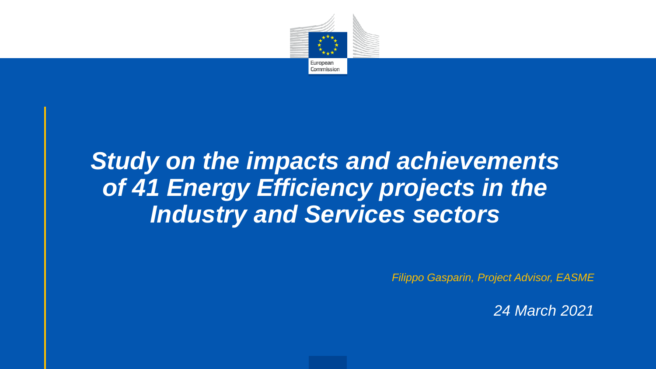

#### *Study on the impacts and achievements of 41 Energy Efficiency projects in the Industry and Services sectors*

*Filippo Gasparin, Project Advisor, EASME*

*24 March 2021*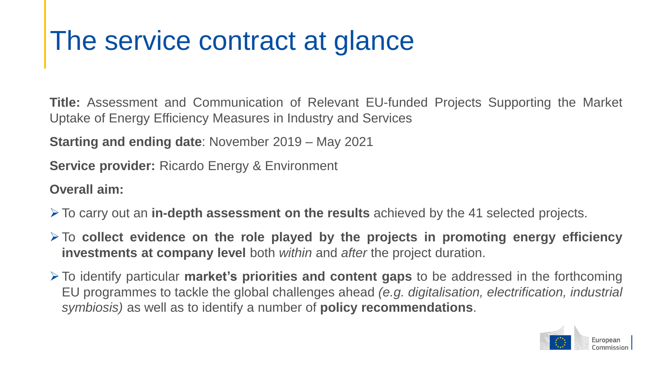### The service contract at glance

**Title:** Assessment and Communication of Relevant EU-funded Projects Supporting the Market Uptake of Energy Efficiency Measures in Industry and Services

**Starting and ending date**: November 2019 – May 2021

**Service provider:** Ricardo Energy & Environment

**Overall aim:**

- ➢To carry out an **in-depth assessment on the results** achieved by the 41 selected projects.
- ➢To **collect evidence on the role played by the projects in promoting energy efficiency investments at company level** both *within* and *after* the project duration.
- ➢To identify particular **market's priorities and content gaps** to be addressed in the forthcoming EU programmes to tackle the global challenges ahead *(e.g. digitalisation, electrification, industrial symbiosis)* as well as to identify a number of **policy recommendations**.

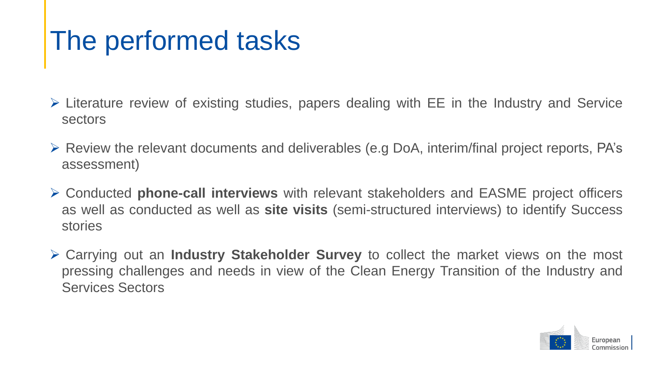## The performed tasks

- ➢ Literature review of existing studies, papers dealing with EE in the Industry and Service sectors
- ➢ Review the relevant documents and deliverables (e.g DoA, interim/final project reports, PA's assessment)
- ➢ Conducted **phone-call interviews** with relevant stakeholders and EASME project officers as well as conducted as well as **site visits** (semi-structured interviews) to identify Success stories
- ➢ Carrying out an **Industry Stakeholder Survey** to collect the market views on the most pressing challenges and needs in view of the Clean Energy Transition of the Industry and Services Sectors

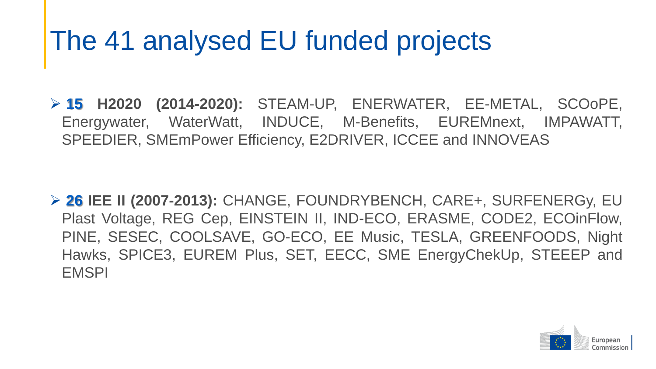# The 41 analysed EU funded projects

➢ **15 H2020 (2014-2020):** STEAM-UP, ENERWATER, EE-METAL, SCOoPE, Energywater, WaterWatt, INDUCE, M-Benefits, EUREMnext, IMPAWATT, SPEEDIER, SMEmPower Efficiency, E2DRIVER, ICCEE and INNOVEAS

➢ **26 IEE II (2007-2013):** CHANGE, FOUNDRYBENCH, CARE+, SURFENERGy, EU Plast Voltage, REG Cep, EINSTEIN II, IND-ECO, ERASME, CODE2, ECOinFlow, PINE, SESEC, COOLSAVE, GO-ECO, EE Music, TESLA, GREENFOODS, Night Hawks, SPICE3, EUREM Plus, SET, EECC, SME EnergyChekUp, STEEEP and **EMSPI** 

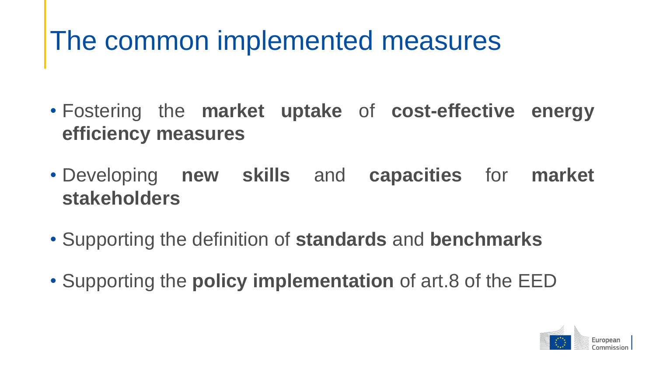## The common implemented measures

- Fostering the **market uptake** of **cost-effective energy efficiency measures**
- Developing **new skills** and **capacities** for **market stakeholders**
- Supporting the definition of **standards** and **benchmarks**
- Supporting the **policy implementation** of art.8 of the EED

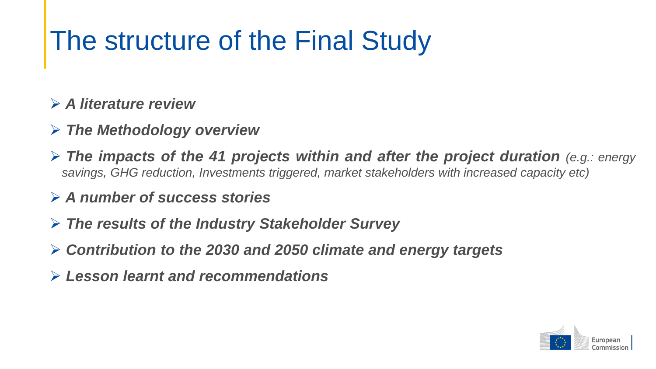# The structure of the Final Study

#### ➢ *A literature review*

- ➢ *The Methodology overview*
- ➢ *The impacts of the 41 projects within and after the project duration (e.g.: energy savings, GHG reduction, Investments triggered, market stakeholders with increased capacity etc)*

#### ➢ *A number of success stories*

- ➢ *The results of the Industry Stakeholder Survey*
- ➢ *Contribution to the 2030 and 2050 climate and energy targets*
- ➢ *Lesson learnt and recommendations*